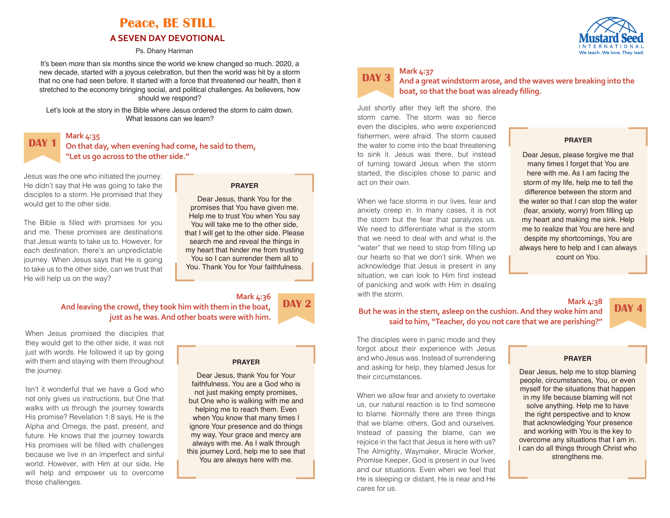# **Peace, BE STILL A SEVEN DAY DEVOTIONAL**

Ps. Dhany Hariman

It's been more than six months since the world we knew changed so much. 2020, a new decade, started with a joyous celebration, but then the world was hit by a storm that no one had seen before. It started with a force that threatened our health, then it stretched to the economy bringing social, and political challenges. As believers, how should we respond?

Let's look at the story in the Bible where Jesus ordered the storm to calm down. What lessons can we learn?



**On that day, when evening had come, he said to them, "Let us go across to the other side."** 

Jesus was the one who initiated the journey. He didn't say that He was going to take the disciples to a storm. He promised that they would get to the other side.

The Bible is filled with promises for you and me. These promises are destinations that Jesus wants to take us to. However, for each destination, there's an unpredictable journey. When Jesus says that He is going to take us to the other side, can we trust that He will help us on the way?

## **Mark 4:36 And leaving the crowd, they took him with them in the boat, just as he was. And other boats were with him.**

When Jesus promised the disciples that they would get to the other side, it was not just with words. He followed it up by going with them and staying with them throughout the journey.

Isn't it wonderful that we have a God who not only gives us instructions, but One that walks with us through the journey towards His promise? Revelation 1:8 says, He is the Alpha and Omega, the past, present, and future. He knows that the journey towards His promises will be filled with challenges because we live in an imperfect and sinful world. However, with Him at our side, He will help and empower us to overcome those challenges.

## **PRAYER**

**DAY 2**

**PRAYER** Dear Jesus, thank You for the promises that You have given me. Help me to trust You when You say You will take me to the other side, that I will get to the other side. Please search me and reveal the things in my heart that hinder me from trusting You so I can surrender them all to You. Thank You for Your faithfulness.

Dear Jesus, thank You for Your faithfulness. You are a God who is not just making empty promises, but One who is walking with me and helping me to reach them. Even when You know that many times I ignore Your presence and do things my way, Your grace and mercy are always with me. As I walk through this journey Lord, help me to see that You are always here with me.



## **Mark 4:37 And a great windstorm arose, and the waves were breaking into the boat, so that the boat was already filling.**

Just shortly after they left the shore, the storm came. The storm was so fierce even the disciples, who were experienced fishermen, were afraid. The storm caused the water to come into the boat threatening to sink it. Jesus was there, but instead of turning toward Jesus when the storm started, the disciples chose to panic and act on their own.

When we face storms in our lives, fear and anxiety creep in. In many cases, it is not the storm but the fear that paralyzes us. We need to differentiate what is the storm that we need to deal with and what is the "water" that we need to stop from filling up our hearts so that we don't sink. When we acknowledge that Jesus is present in any situation, we can look to Him first instead of panicking and work with Him in dealing with the storm.

# **PRAYER**

Dear Jesus, please forgive me that many times I forget that You are here with me. As I am facing the storm of my life, help me to tell the difference between the storm and the water so that I can stop the water (fear, anxiety, worry) from filling up my heart and making me sink. Help me to realize that You are here and despite my shortcomings, You are always here to help and I can always count on You.

## **But he was in the stern, asleep on the cushion. And they woke him and said to him, "Teacher, do you not care that we are perishing?"**

The disciples were in panic mode and they forgot about their experience with Jesus and who Jesus was. Instead of surrendering and asking for help, they blamed Jesus for their circumstances.

When we allow fear and anxiety to overtake us, our natural reaction is to find someone to blame. Normally there are three things that we blame: others, God and ourselves. Instead of passing the blame, can we rejoice in the fact that Jesus is here with us? The Almighty, Waymaker, Miracle Worker, Promise Keeper, God is present in our lives and our situations. Even when we feel that He is sleeping or distant, He is near and He cares for us.

## **PRAYER**

**Mark 4:38**

**DAY** 

Dear Jesus, help me to stop blaming people, circumstances, You, or even myself for the situations that happen in my life because blaming will not solve anything. Help me to have the right perspective and to know that acknowledging Your presence and working with You is the key to overcome any situations that I am in. I can do all things through Christ who strengthens me.